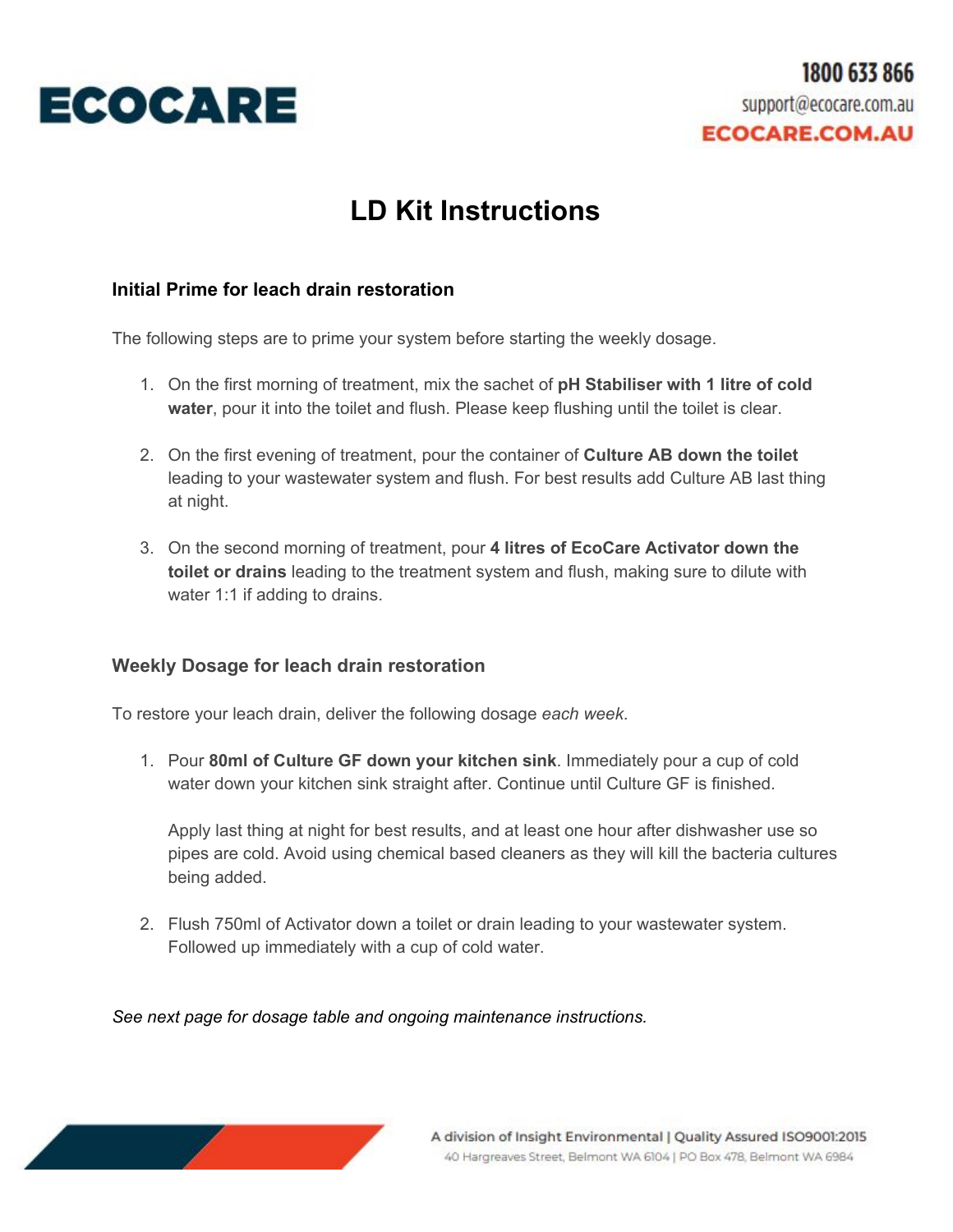

## **LD Kit Instructions**

## **Initial Prime for leach drain restoration**

The following steps are to prime your system before starting the weekly dosage.

- 1. On the first morning of treatment, mix the sachet of **pH Stabiliser with 1 litre of cold water**, pour it into the toilet and flush. Please keep flushing until the toilet is clear.
- 2. On the first evening of treatment, pour the container of **Culture AB down the toilet** leading to your wastewater system and flush. For best results add Culture AB last thing at night.
- 3. On the second morning of treatment, pour **4 litres of EcoCare Activator down the toilet or drains** leading to the treatment system and flush, making sure to dilute with water 1:1 if adding to drains.

## **Weekly Dosage for leach drain restoration**

To restore your leach drain, deliver the following dosage *each week*.

1. Pour **80ml of Culture GF down your kitchen sink**. Immediately pour a cup of cold water down your kitchen sink straight after. Continue until Culture GF is finished.

Apply last thing at night for best results, and at least one hour after dishwasher use so pipes are cold. Avoid using chemical based cleaners as they will kill the bacteria cultures being added.

2. Flush 750ml of Activator down a toilet or drain leading to your wastewater system. Followed up immediately with a cup of cold water.

*See next page for dosage table and ongoing maintenance instructions.*